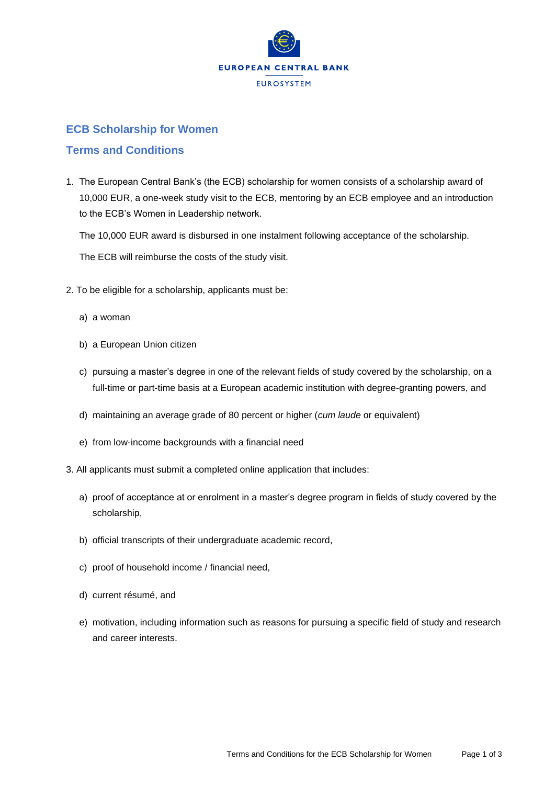

## **ECB Scholarship for Women**

## **Terms and Conditions**

1. The European Central Bank's (the ECB) scholarship for women consists of a scholarship award of 10,000 EUR, a one-week study visit to the ECB, mentoring by an ECB employee and an introduction to the ECB's Women in Leadership network.

The 10,000 EUR award is disbursed in one instalment following acceptance of the scholarship.

The ECB will reimburse the costs of the study visit.

- 2. To be eligible for a scholarship, applicants must be:
	- a) a woman
	- b) a European Union citizen
	- c) pursuing a master's degree in one of the relevant fields of study covered by the scholarship, on a full-time or part-time basis at a European academic institution with degree-granting powers, and
	- d) maintaining an average grade of 80 percent or higher (*cum laude* or equivalent)
	- e) from low-income backgrounds with a financial need
- 3. All applicants must submit a completed online application that includes:
	- a) proof of acceptance at or enrolment in a master's degree program in fields of study covered by the scholarship,
	- b) official transcripts of their undergraduate academic record,
	- c) proof of household income / financial need,
	- d) current résumé, and
	- e) motivation, including information such as reasons for pursuing a specific field of study and research and career interests.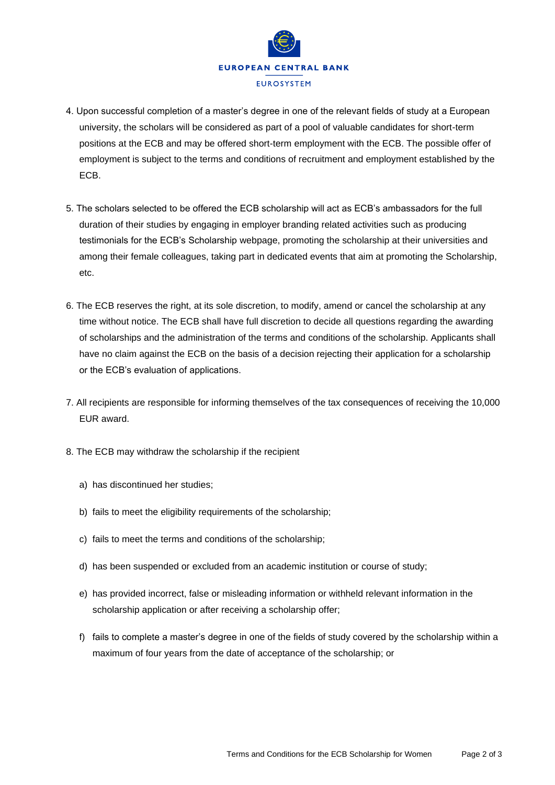

- 4. Upon successful completion of a master's degree in one of the relevant fields of study at a European university, the scholars will be considered as part of a pool of valuable candidates for short-term positions at the ECB and may be offered short-term employment with the ECB. The possible offer of employment is subject to the terms and conditions of recruitment and employment established by the ECB.
- 5. The scholars selected to be offered the ECB scholarship will act as ECB's ambassadors for the full duration of their studies by engaging in employer branding related activities such as producing testimonials for the ECB's Scholarship webpage, promoting the scholarship at their universities and among their female colleagues, taking part in dedicated events that aim at promoting the Scholarship, etc.
- 6. The ECB reserves the right, at its sole discretion, to modify, amend or cancel the scholarship at any time without notice. The ECB shall have full discretion to decide all questions regarding the awarding of scholarships and the administration of the terms and conditions of the scholarship. Applicants shall have no claim against the ECB on the basis of a decision rejecting their application for a scholarship or the ECB's evaluation of applications.
- 7. All recipients are responsible for informing themselves of the tax consequences of receiving the 10,000 EUR award.
- 8. The ECB may withdraw the scholarship if the recipient
	- a) has discontinued her studies;
	- b) fails to meet the eligibility requirements of the scholarship;
	- c) fails to meet the terms and conditions of the scholarship;
	- d) has been suspended or excluded from an academic institution or course of study;
	- e) has provided incorrect, false or misleading information or withheld relevant information in the scholarship application or after receiving a scholarship offer;
	- f) fails to complete a master's degree in one of the fields of study covered by the scholarship within a maximum of four years from the date of acceptance of the scholarship; or